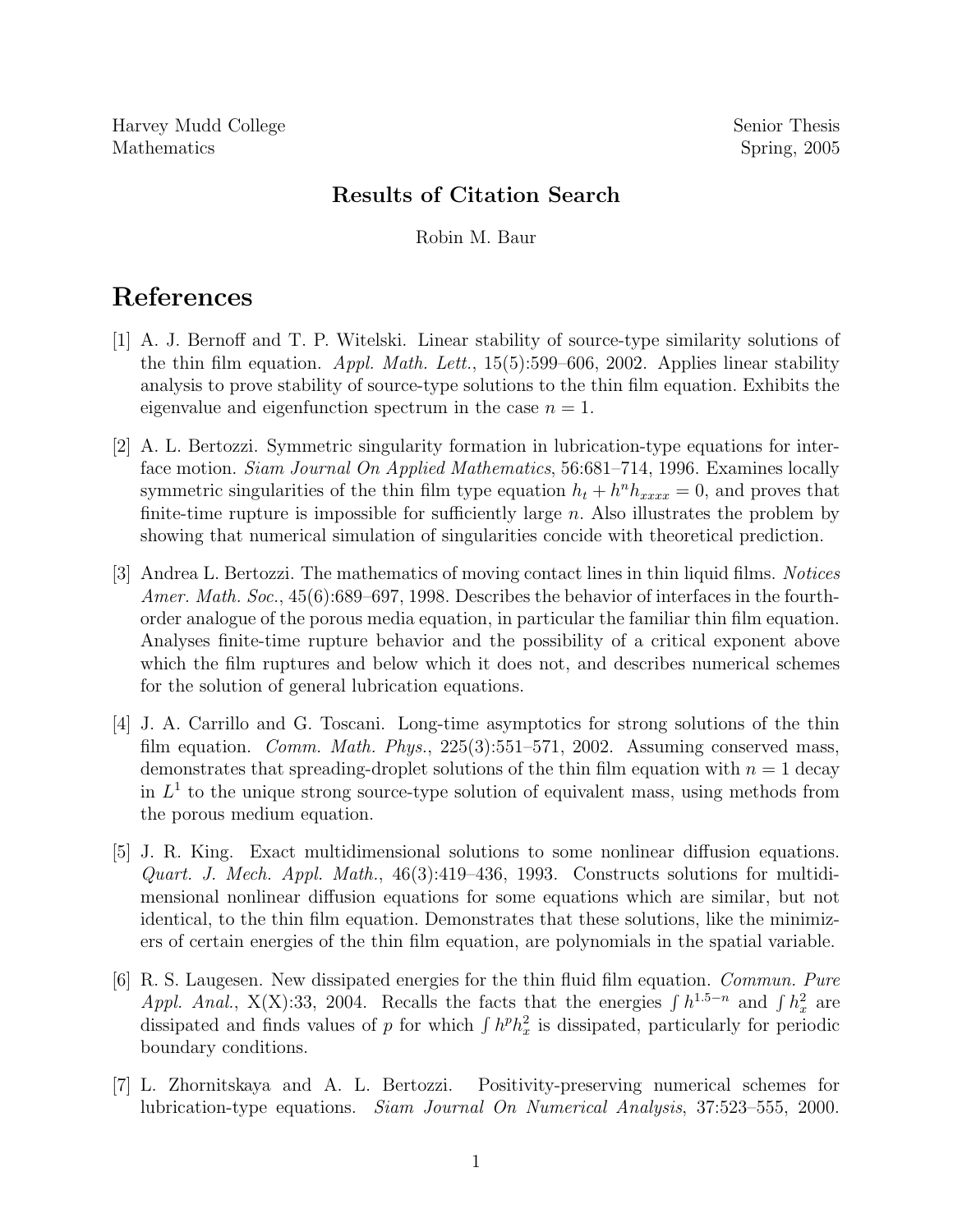Harvey Mudd College Senior Thesis Mathematics Spring, 2005

## Results of Citation Search

Robin M. Baur

## References

- [1] A. J. Bernoff and T. P. Witelski. Linear stability of source-type similarity solutions of the thin film equation. Appl. Math. Lett.,  $15(5):599-606$ , 2002. Applies linear stability analysis to prove stability of source-type solutions to the thin film equation. Exhibits the eigenvalue and eigenfunction spectrum in the case  $n = 1$ .
- [2] A. L. Bertozzi. Symmetric singularity formation in lubrication-type equations for interface motion. Siam Journal On Applied Mathematics, 56:681–714, 1996. Examines locally symmetric singularities of the thin film type equation  $h_t + h^n h_{xxxx} = 0$ , and proves that finite-time rupture is impossible for sufficiently large  $n$ . Also illustrates the problem by showing that numerical simulation of singularities concide with theoretical prediction.
- [3] Andrea L. Bertozzi. The mathematics of moving contact lines in thin liquid films. Notices Amer. Math. Soc., 45(6):689–697, 1998. Describes the behavior of interfaces in the fourthorder analogue of the porous media equation, in particular the familiar thin film equation. Analyses finite-time rupture behavior and the possibility of a critical exponent above which the film ruptures and below which it does not, and describes numerical schemes for the solution of general lubrication equations.
- [4] J. A. Carrillo and G. Toscani. Long-time asymptotics for strong solutions of the thin film equation. *Comm. Math. Phys.*,  $225(3):551-571$ ,  $2002$ . Assuming conserved mass, demonstrates that spreading-droplet solutions of the thin film equation with  $n = 1$  decay in  $L<sup>1</sup>$  to the unique strong source-type solution of equivalent mass, using methods from the porous medium equation.
- [5] J. R. King. Exact multidimensional solutions to some nonlinear diffusion equations. Quart. J. Mech. Appl. Math., 46(3):419–436, 1993. Constructs solutions for multidimensional nonlinear diffusion equations for some equations which are similar, but not identical, to the thin film equation. Demonstrates that these solutions, like the minimizers of certain energies of the thin film equation, are polynomials in the spatial variable.
- [6] R. S. Laugesen. New dissipated energies for the thin fluid film equation. Commun. Pure Appl. Anal., X(X):33, 2004. Recalls the facts that the energies  $\int h^{1.5-n}$  and  $\int h_x^2$  $\frac{2}{x}$  are dissipated and finds values of p for which  $\int h^p h_x^2$  $\frac{2}{x}$  is dissipated, particularly for periodic boundary conditions.
- [7] L. Zhornitskaya and A. L. Bertozzi. Positivity-preserving numerical schemes for lubrication-type equations. Siam Journal On Numerical Analysis, 37:523–555, 2000.